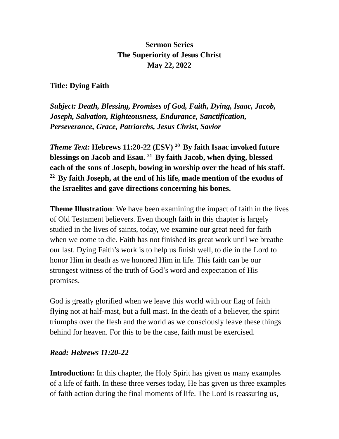#### **Sermon Series The Superiority of Jesus Christ May 22, 2022**

#### **Title: Dying Faith**

*Subject: Death, Blessing, Promises of God, Faith, Dying, Isaac, Jacob, Joseph, Salvation, Righteousness, Endurance, Sanctification, Perseverance, Grace, Patriarchs, Jesus Christ, Savior*

*Theme Text:* **Hebrews 11:20-22 (ESV) <sup>20</sup>By faith Isaac invoked future blessings on Jacob and Esau. <sup>21</sup>By faith Jacob, when dying, blessed each of the sons of Joseph, bowing in worship over the head of his staff. <sup>22</sup>By faith Joseph, at the end of his life, made mention of the exodus of the Israelites and gave directions concerning his bones.**

**Theme Illustration**: We have been examining the impact of faith in the lives of Old Testament believers. Even though faith in this chapter is largely studied in the lives of saints, today, we examine our great need for faith when we come to die. Faith has not finished its great work until we breathe our last. Dying Faith's work is to help us finish well, to die in the Lord to honor Him in death as we honored Him in life. This faith can be our strongest witness of the truth of God's word and expectation of His promises.

God is greatly glorified when we leave this world with our flag of faith flying not at half-mast, but a full mast. In the death of a believer, the spirit triumphs over the flesh and the world as we consciously leave these things behind for heaven. For this to be the case, faith must be exercised.

#### *Read: Hebrews 11:20-22*

**Introduction:** In this chapter, the Holy Spirit has given us many examples of a life of faith. In these three verses today, He has given us three examples of faith action during the final moments of life. The Lord is reassuring us,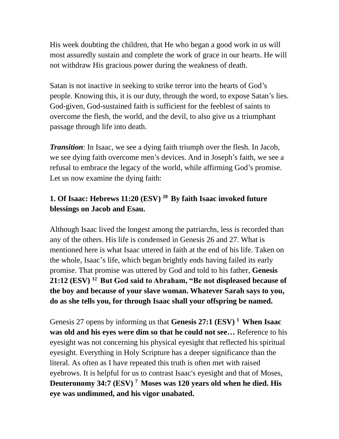His week doubting the children, that He who began a good work in us will most assuredly sustain and complete the work of grace in our hearts. He will not withdraw His gracious power during the weakness of death.

Satan is not inactive in seeking to strike terror into the hearts of God's people. Knowing this, it is our duty, through the word, to expose Satan's lies. God-given, God-sustained faith is sufficient for the feeblest of saints to overcome the flesh, the world, and the devil, to also give us a triumphant passage through life into death.

*Transition*: In Isaac, we see a dying faith triumph over the flesh. In Jacob, we see dying faith overcome men's devices. And in Joseph's faith, we see a refusal to embrace the legacy of the world, while affirming God's promise. Let us now examine the dying faith:

## **1. Of Isaac: Hebrews 11:20 (ESV) <sup>20</sup>By faith Isaac invoked future blessings on Jacob and Esau.**

Although Isaac lived the longest among the patriarchs, less is recorded than any of the others. His life is condensed in Genesis 26 and 27. What is mentioned here is what Isaac uttered in faith at the end of his life. Taken on the whole, Isaac's life, which began brightly ends having failed its early promise. That promise was uttered by God and told to his father, **Genesis 21:12 (ESV) <sup>12</sup>But God said to Abraham, "Be not displeased because of the boy and because of your slave woman. Whatever Sarah says to you, do as she tells you, for through Isaac shall your offspring be named.**

Genesis 27 opens by informing us that **Genesis 27:1 (ESV) <sup>1</sup>When Isaac was old and his eyes were dim so that he could not see…** Reference to his eyesight was not concerning his physical eyesight that reflected his spiritual eyesight. Everything in Holy Scripture has a deeper significance than the literal. As often as I have repeated this truth is often met with raised eyebrows. It is helpful for us to contrast Isaac's eyesight and that of Moses, **Deuteronomy 34:7 (ESV) <sup>7</sup>Moses was 120 years old when he died. His eye was undimmed, and his vigor unabated.**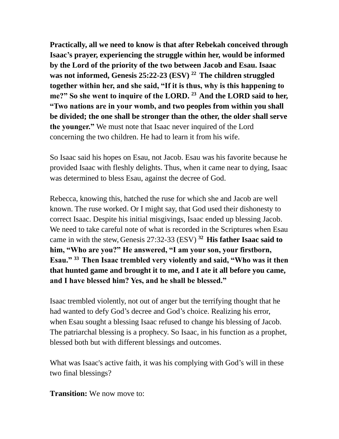**Practically, all we need to know is that after Rebekah conceived through Isaac's prayer, experiencing the struggle within her, would be informed by the Lord of the priority of the two between Jacob and Esau. Isaac was not informed, Genesis 25:22-23 (ESV) <sup>22</sup>The children struggled together within her, and she said, "If it is thus, why is this happening to me?" So she went to inquire of the LORD. <sup>23</sup>And the LORD said to her, "Two nations are in your womb, and two peoples from within you shall be divided; the one shall be stronger than the other, the older shall serve the younger."** We must note that Isaac never inquired of the Lord concerning the two children. He had to learn it from his wife.

So Isaac said his hopes on Esau, not Jacob. Esau was his favorite because he provided Isaac with fleshly delights. Thus, when it came near to dying, Isaac was determined to bless Esau, against the decree of God.

Rebecca, knowing this, hatched the ruse for which she and Jacob are well known. The ruse worked. Or I might say, that God used their dishonesty to correct Isaac. Despite his initial misgivings, Isaac ended up blessing Jacob. We need to take careful note of what is recorded in the Scriptures when Esau came in with the stew, Genesis 27:32-33 (ESV) **<sup>32</sup>His father Isaac said to him, "Who are you?" He answered, "I am your son, your firstborn, Esau." <sup>33</sup>Then Isaac trembled very violently and said, "Who was it then that hunted game and brought it to me, and I ate it all before you came, and I have blessed him? Yes, and he shall be blessed."**

Isaac trembled violently, not out of anger but the terrifying thought that he had wanted to defy God's decree and God's choice. Realizing his error, when Esau sought a blessing Isaac refused to change his blessing of Jacob. The patriarchal blessing is a prophecy. So Isaac, in his function as a prophet, blessed both but with different blessings and outcomes.

What was Isaac's active faith, it was his complying with God's will in these two final blessings?

**Transition:** We now move to: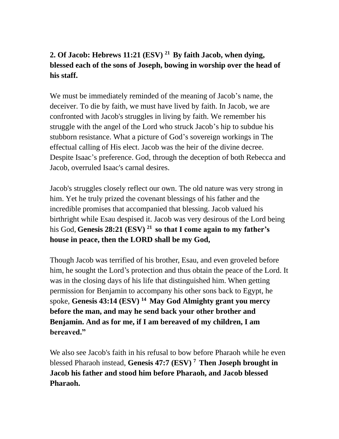# **2. Of Jacob: Hebrews 11:21 (ESV) <sup>21</sup>By faith Jacob, when dying, blessed each of the sons of Joseph, bowing in worship over the head of his staff.**

We must be immediately reminded of the meaning of Jacob's name, the deceiver. To die by faith, we must have lived by faith. In Jacob, we are confronted with Jacob's struggles in living by faith. We remember his struggle with the angel of the Lord who struck Jacob's hip to subdue his stubborn resistance. What a picture of God's sovereign workings in The effectual calling of His elect. Jacob was the heir of the divine decree. Despite Isaac's preference. God, through the deception of both Rebecca and Jacob, overruled Isaac's carnal desires.

Jacob's struggles closely reflect our own. The old nature was very strong in him. Yet he truly prized the covenant blessings of his father and the incredible promises that accompanied that blessing. Jacob valued his birthright while Esau despised it. Jacob was very desirous of the Lord being his God, **Genesis 28:21 (ESV) <sup>21</sup>so that I come again to my father's house in peace, then the LORD shall be my God,**

Though Jacob was terrified of his brother, Esau, and even groveled before him, he sought the Lord's protection and thus obtain the peace of the Lord. It was in the closing days of his life that distinguished him. When getting permission for Benjamin to accompany his other sons back to Egypt, he spoke, **Genesis 43:14 (ESV) <sup>14</sup>May God Almighty grant you mercy before the man, and may he send back your other brother and Benjamin. And as for me, if I am bereaved of my children, I am bereaved."** 

We also see Jacob's faith in his refusal to bow before Pharaoh while he even blessed Pharaoh instead, **Genesis 47:7 (ESV) <sup>7</sup>Then Joseph brought in Jacob his father and stood him before Pharaoh, and Jacob blessed Pharaoh.**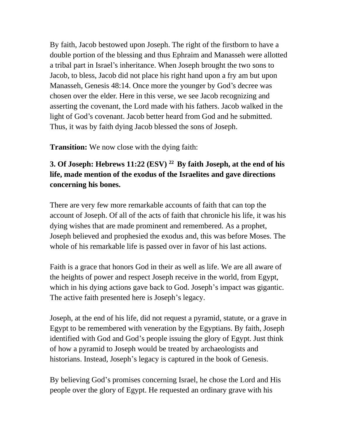By faith, Jacob bestowed upon Joseph. The right of the firstborn to have a double portion of the blessing and thus Ephraim and Manasseh were allotted a tribal part in Israel's inheritance. When Joseph brought the two sons to Jacob, to bless, Jacob did not place his right hand upon a fry am but upon Manasseh, Genesis 48:14. Once more the younger by God's decree was chosen over the elder. Here in this verse, we see Jacob recognizing and asserting the covenant, the Lord made with his fathers. Jacob walked in the light of God's covenant. Jacob better heard from God and he submitted. Thus, it was by faith dying Jacob blessed the sons of Joseph.

**Transition:** We now close with the dying faith:

### **3. Of Joseph: Hebrews 11:22 (ESV) <sup>22</sup>By faith Joseph, at the end of his life, made mention of the exodus of the Israelites and gave directions concerning his bones.**

There are very few more remarkable accounts of faith that can top the account of Joseph. Of all of the acts of faith that chronicle his life, it was his dying wishes that are made prominent and remembered. As a prophet, Joseph believed and prophesied the exodus and, this was before Moses. The whole of his remarkable life is passed over in favor of his last actions.

Faith is a grace that honors God in their as well as life. We are all aware of the heights of power and respect Joseph receive in the world, from Egypt, which in his dying actions gave back to God. Joseph's impact was gigantic. The active faith presented here is Joseph's legacy.

Joseph, at the end of his life, did not request a pyramid, statute, or a grave in Egypt to be remembered with veneration by the Egyptians. By faith, Joseph identified with God and God's people issuing the glory of Egypt. Just think of how a pyramid to Joseph would be treated by archaeologists and historians. Instead, Joseph's legacy is captured in the book of Genesis.

By believing God's promises concerning Israel, he chose the Lord and His people over the glory of Egypt. He requested an ordinary grave with his